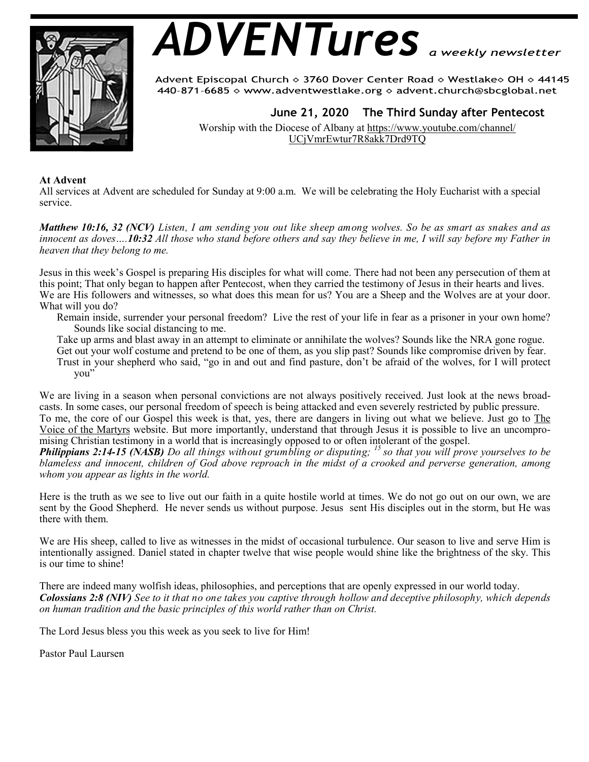

# *ADVENTures*

Advent Episcopal Church ◇ 3760 Dover Center Road ◇ Westlake◇ OH ◇ 44145 440-871-6685  $\diamond$  www.adventwestlake.org  $\diamond$  advent.church@sbcglobal.net

 **June 21, 2020 The Third Sunday after Pentecost** 

Worship with the Diocese of Albany at https://www.youtube.com/channel/ UCjVmrEwtur7R8akk7Drd9TQ

# **At Advent**

All services at Advent are scheduled for Sunday at 9:00 a.m. We will be celebrating the Holy Eucharist with a special service.

*Matthew 10:16, 32 (NCV) Listen, I am sending you out like sheep among wolves. So be as smart as snakes and as innocent as doves….10:32 All those who stand before others and say they believe in me, I will say before my Father in heaven that they belong to me.* 

Jesus in this week's Gospel is preparing His disciples for what will come. There had not been any persecution of them at this point; That only began to happen after Pentecost, when they carried the testimony of Jesus in their hearts and lives. We are His followers and witnesses, so what does this mean for us? You are a Sheep and the Wolves are at your door. What will you do?

Remain inside, surrender your personal freedom? Live the rest of your life in fear as a prisoner in your own home? Sounds like social distancing to me.

Take up arms and blast away in an attempt to eliminate or annihilate the wolves? Sounds like the NRA gone rogue.

Get out your wolf costume and pretend to be one of them, as you slip past? Sounds like compromise driven by fear.

Trust in your shepherd who said, "go in and out and find pasture, don't be afraid of the wolves, for I will protect you"

We are living in a season when personal convictions are not always positively received. Just look at the news broadcasts. In some cases, our personal freedom of speech is being attacked and even severely restricted by public pressure. To me, the core of our Gospel this week is that, yes, there are dangers in living out what we believe. Just go to The Voice of the Martyrs website. But more importantly, understand that through Jesus it is possible to live an uncompro-

mising Christian testimony in a world that is increasingly opposed to or often intolerant of the gospel.

*Philippians 2:14-15 (NASB) Do all things without grumbling or disputing; <sup>15</sup>so that you will prove yourselves to be blameless and innocent, children of God above reproach in the midst of a crooked and perverse generation, among whom you appear as lights in the world.*

Here is the truth as we see to live out our faith in a quite hostile world at times. We do not go out on our own, we are sent by the Good Shepherd. He never sends us without purpose. Jesus sent His disciples out in the storm, but He was there with them.

We are His sheep, called to live as witnesses in the midst of occasional turbulence. Our season to live and serve Him is intentionally assigned. Daniel stated in chapter twelve that wise people would shine like the brightness of the sky. This is our time to shine!

There are indeed many wolfish ideas, philosophies, and perceptions that are openly expressed in our world today. *Colossians 2:8 (NIV) See to it that no one takes you captive through hollow and deceptive philosophy, which depends on human tradition and the basic principles of this world rather than on Christ.* 

The Lord Jesus bless you this week as you seek to live for Him!

Pastor Paul Laursen